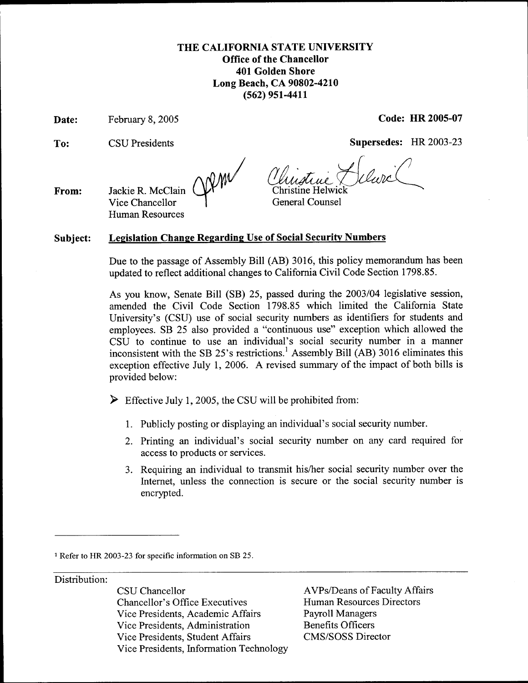## **THE CALIFORNIA STATE UNIVERSITY Office of the Chancellor 401 Golden Shore Long Beach, CA 90802-4210 (562) 951-4411**

**Date:** 

**To:**  CSU Presidents **Supersedes:** HR 2003-23

February 8,2005 **Code: HR 2005-07** 

Vice Chancellor  $\qquad$  General Counsel

**From:**  Jackie R. McClain Human Resources

## **Subject: Legislation Change Regarding Use of Social Security Numbers**

Due to the passage of Assembly Bill (AB) 3016, this policy memorandum has been updated to reflect additional changes to California Civil Code Section 1798.85.

**As** you know, Senate Bill **(SB)** 25, passed during the 2003/04 legislative session, amended the Civil Code Section 1798.85 which limited the California State University's (CSU) use of social security numbers as identifiers for students and employees. SB 25 also provided a "continuous use" exception which allowed the CSU to continue to use an individual's social security number in a manner inconsistent with the SB 25's restrictions.' Assembly Bill (AB) 3016 eliminates this exception effective July 1, 2006. A revised summary of the impact of both bills is provided below:

 $\triangleright$  Effective July 1, 2005, the CSU will be prohibited from:

- 1. Publicly posting or displaying **an** individual's social security number.
- 2. Printing an individual's social security number on any card required for access to products or services.
- 3. Requiring an individual to transmit his/her social security number over the Internet, unless the connection is secure or the social security number is encrypted.

Distribution:

CSU Chancellor **AVPs/Deans of Faculty Affairs** Chancellor's Office Executives Human Resources Directors Vice Presidents, Academic Affairs Payroll Managers Vice Presidents, Administration Benefits Officers Vice Presidents, Student Affairs CMS/SOSS Director Vice Presidents, Information Technology

**<sup>1</sup>**Refer to HR *2003-23* for specific information on SB *25.*